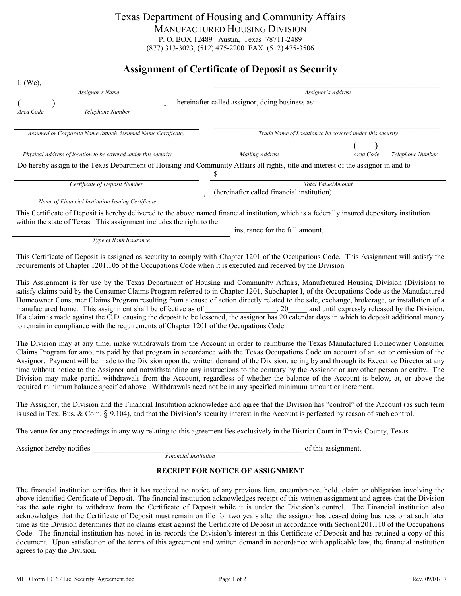## Texas Department of Housing and Community Affairs MANUFACTURED HOUSING DIVISION P. O. BOX 12489 Austin, Texas 78711-2489 (877) 313-3023, (512) 475-2200 FAX (512) 475-3506

# **Assignment of Certificate of Deposit as Security**

| I, (We),                                                                                                   |                                                                                                                                               |  |
|------------------------------------------------------------------------------------------------------------|-----------------------------------------------------------------------------------------------------------------------------------------------|--|
| Assignor's Name                                                                                            | Assignor's Address                                                                                                                            |  |
|                                                                                                            | hereinafter called assignor, doing business as:                                                                                               |  |
| Telephone Number<br>Area Code                                                                              |                                                                                                                                               |  |
| Assumed or Corporate Name (attach Assumed Name Certificate)                                                | Trade Name of Location to be covered under this security                                                                                      |  |
|                                                                                                            |                                                                                                                                               |  |
| Physical Address of location to be covered under this security                                             | Mailing Address<br>Telephone Number<br>Area Code                                                                                              |  |
|                                                                                                            | Do hereby assign to the Texas Department of Housing and Community Affairs all rights, title and interest of the assignor in and to            |  |
| Certificate of Deposit Number                                                                              | Total Value/Amount<br>(hereinafter called financial institution).                                                                             |  |
| Name of Financial Institution Issuing Certificate                                                          |                                                                                                                                               |  |
| within the state of Texas. This assignment includes the right to the                                       | This Certificate of Deposit is hereby delivered to the above named financial institution, which is a federally insured depository institution |  |
|                                                                                                            | insurance for the full amount.                                                                                                                |  |
| Type of Bank Insurance                                                                                     |                                                                                                                                               |  |
| requirements of Chapter 1201.105 of the Occupations Code when it is executed and received by the Division. | This Certificate of Deposit is assigned as security to comply with Chapter 1201 of the Occupations Code. This Assignment will satisfy the     |  |

This Assignment is for use by the Texas Department of Housing and Community Affairs, Manufactured Housing Division (Division) to satisfy claims paid by the Consumer Claims Program referred to in Chapter 1201, Subchapter I, of the Occupations Code as the Manufactured Homeowner Consumer Claims Program resulting from a cause of action directly related to the sale, exchange, brokerage, or installation of a manufactured home. This assignment shall be effective as of  $\qquad \qquad$ , 20 and until expressly released by the Division. If a claim is made against the C.D. causing the deposit to be lessened, the assignor has 20 calendar days in which to deposit additional money to remain in compliance with the requirements of Chapter 1201 of the Occupations Code.

The Division may at any time, make withdrawals from the Account in order to reimburse the Texas Manufactured Homeowner Consumer Claims Program for amounts paid by that program in accordance with the Texas Occupations Code on account of an act or omission of the Assignor. Payment will be made to the Division upon the written demand of the Division, acting by and through its Executive Director at any time without notice to the Assignor and notwithstanding any instructions to the contrary by the Assignor or any other person or entity. The Division may make partial withdrawals from the Account, regardless of whether the balance of the Account is below, at, or above the required minimum balance specified above. Withdrawals need not be in any specified minimum amount or increment.

The Assignor, the Division and the Financial Institution acknowledge and agree that the Division has "control" of the Account (as such term is used in Tex. Bus. & Com. § 9.104), and that the Division's security interest in the Account is perfected by reason of such control.

The venue for any proceedings in any way relating to this agreement lies exclusively in the District Court in Travis County, Texas

Assignor hereby notifies example the set of this assignment.

*Financial Institution*

#### **RECEIPT FOR NOTICE OF ASSIGNMENT**

The financial institution certifies that it has received no notice of any previous lien, encumbrance, hold, claim or obligation involving the above identified Certificate of Deposit. The financial institution acknowledges receipt of this written assignment and agrees that the Division has the **sole right** to withdraw from the Certificate of Deposit while it is under the Division's control. The Financial institution also acknowledges that the Certificate of Deposit must remain on file for two years after the assignor has ceased doing business or at such later time as the Division determines that no claims exist against the Certificate of Deposit in accordance with Section1201.110 of the Occupations Code. The financial institution has noted in its records the Division's interest in this Certificate of Deposit and has retained a copy of this document. Upon satisfaction of the terms of this agreement and written demand in accordance with applicable law, the financial institution agrees to pay the Division.